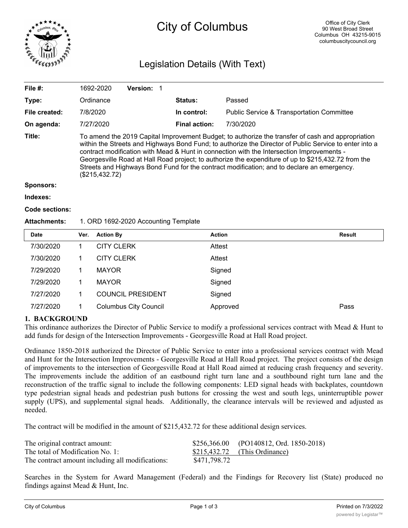

# City of Columbus

# Legislation Details (With Text)

| File $#$ :            | 1692-2020                                                                                                                                                                                                                                                                                                                                                                                                                                                                                                                       | <b>Version:</b> |                      |                                                      |  |  |  |
|-----------------------|---------------------------------------------------------------------------------------------------------------------------------------------------------------------------------------------------------------------------------------------------------------------------------------------------------------------------------------------------------------------------------------------------------------------------------------------------------------------------------------------------------------------------------|-----------------|----------------------|------------------------------------------------------|--|--|--|
| Type:                 | Ordinance                                                                                                                                                                                                                                                                                                                                                                                                                                                                                                                       |                 | <b>Status:</b>       | Passed                                               |  |  |  |
| File created:         | 7/8/2020                                                                                                                                                                                                                                                                                                                                                                                                                                                                                                                        |                 | In control:          | <b>Public Service &amp; Transportation Committee</b> |  |  |  |
| On agenda:            | 7/27/2020                                                                                                                                                                                                                                                                                                                                                                                                                                                                                                                       |                 | <b>Final action:</b> | 7/30/2020                                            |  |  |  |
| Title:                | To amend the 2019 Capital Improvement Budget; to authorize the transfer of cash and appropriation<br>within the Streets and Highways Bond Fund; to authorize the Director of Public Service to enter into a<br>contract modification with Mead & Hunt in connection with the Intersection Improvements -<br>Georgesville Road at Hall Road project; to authorize the expenditure of up to \$215,432.72 from the<br>Streets and Highways Bond Fund for the contract modification; and to declare an emergency.<br>(\$215,432.72) |                 |                      |                                                      |  |  |  |
| <b>Sponsors:</b>      |                                                                                                                                                                                                                                                                                                                                                                                                                                                                                                                                 |                 |                      |                                                      |  |  |  |
| Indexes:              |                                                                                                                                                                                                                                                                                                                                                                                                                                                                                                                                 |                 |                      |                                                      |  |  |  |
| <b>Code sections:</b> |                                                                                                                                                                                                                                                                                                                                                                                                                                                                                                                                 |                 |                      |                                                      |  |  |  |

### **Attachments:** 1. ORD 1692-2020 Accounting Template

| <b>Date</b> | Ver. | <b>Action By</b>             | <b>Action</b> | <b>Result</b> |
|-------------|------|------------------------------|---------------|---------------|
| 7/30/2020   |      | <b>CITY CLERK</b>            | Attest        |               |
| 7/30/2020   |      | <b>CITY CLERK</b>            | Attest        |               |
| 7/29/2020   |      | <b>MAYOR</b>                 | Signed        |               |
| 7/29/2020   |      | <b>MAYOR</b>                 | Signed        |               |
| 7/27/2020   |      | <b>COUNCIL PRESIDENT</b>     | Signed        |               |
| 7/27/2020   |      | <b>Columbus City Council</b> | Approved      | Pass          |

## **1. BACKGROUND**

This ordinance authorizes the Director of Public Service to modify a professional services contract with Mead & Hunt to add funds for design of the Intersection Improvements - Georgesville Road at Hall Road project.

Ordinance 1850-2018 authorized the Director of Public Service to enter into a professional services contract with Mead and Hunt for the Intersection Improvements - Georgesville Road at Hall Road project. The project consists of the design of improvements to the intersection of Georgesville Road at Hall Road aimed at reducing crash frequency and severity. The improvements include the addition of an eastbound right turn lane and a southbound right turn lane and the reconstruction of the traffic signal to include the following components: LED signal heads with backplates, countdown type pedestrian signal heads and pedestrian push buttons for crossing the west and south legs, uninterruptible power supply (UPS), and supplemental signal heads. Additionally, the clearance intervals will be reviewed and adjusted as needed.

The contract will be modified in the amount of \$215,432.72 for these additional design services.

| The original contract amount:                    |              | $$256,366.00$ (PO140812, Ord. 1850-2018) |
|--------------------------------------------------|--------------|------------------------------------------|
| The total of Modification No. 1:                 |              | $$215,432.72$ (This Ordinance)           |
| The contract amount including all modifications: | \$471,798.72 |                                          |

Searches in the System for Award Management (Federal) and the Findings for Recovery list (State) produced no findings against Mead & Hunt, Inc.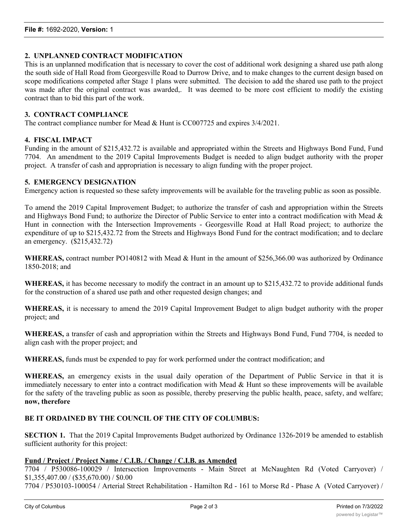#### **2. UNPLANNED CONTRACT MODIFICATION**

This is an unplanned modification that is necessary to cover the cost of additional work designing a shared use path along the south side of Hall Road from Georgesville Road to Durrow Drive, and to make changes to the current design based on scope modifications competed after Stage 1 plans were submitted. The decision to add the shared use path to the project was made after the original contract was awarded,. It was deemed to be more cost efficient to modify the existing contract than to bid this part of the work.

#### **3. CONTRACT COMPLIANCE**

The contract compliance number for Mead & Hunt is CC007725 and expires 3/4/2021.

#### **4. FISCAL IMPACT**

Funding in the amount of \$215,432.72 is available and appropriated within the Streets and Highways Bond Fund, Fund 7704. An amendment to the 2019 Capital Improvements Budget is needed to align budget authority with the proper project. A transfer of cash and appropriation is necessary to align funding with the proper project.

#### **5. EMERGENCY DESIGNATION**

Emergency action is requested so these safety improvements will be available for the traveling public as soon as possible.

To amend the 2019 Capital Improvement Budget; to authorize the transfer of cash and appropriation within the Streets and Highways Bond Fund; to authorize the Director of Public Service to enter into a contract modification with Mead  $\&$ Hunt in connection with the Intersection Improvements - Georgesville Road at Hall Road project; to authorize the expenditure of up to \$215,432.72 from the Streets and Highways Bond Fund for the contract modification; and to declare an emergency. (\$215,432.72)

**WHEREAS,** contract number PO140812 with Mead & Hunt in the amount of \$256,366.00 was authorized by Ordinance 1850-2018; and

**WHEREAS,** it has become necessary to modify the contract in an amount up to \$215,432.72 to provide additional funds for the construction of a shared use path and other requested design changes; and

**WHEREAS,** it is necessary to amend the 2019 Capital Improvement Budget to align budget authority with the proper project; and

**WHEREAS,** a transfer of cash and appropriation within the Streets and Highways Bond Fund, Fund 7704, is needed to align cash with the proper project; and

**WHEREAS,** funds must be expended to pay for work performed under the contract modification; and

**WHEREAS,** an emergency exists in the usual daily operation of the Department of Public Service in that it is immediately necessary to enter into a contract modification with Mead & Hunt so these improvements will be available for the safety of the traveling public as soon as possible, thereby preserving the public health, peace, safety, and welfare; **now, therefore**

#### **BE IT ORDAINED BY THE COUNCIL OF THE CITY OF COLUMBUS:**

**SECTION 1.** That the 2019 Capital Improvements Budget authorized by Ordinance 1326-2019 be amended to establish sufficient authority for this project:

#### **Fund / Project / Project Name / C.I.B. / Change / C.I.B. as Amended**

7704 / P530086-100029 / Intersection Improvements - Main Street at McNaughten Rd (Voted Carryover) / \$1,355,407.00 / (\$35,670.00) / \$0.00

7704 / P530103-100054 / Arterial Street Rehabilitation - Hamilton Rd - 161 to Morse Rd - Phase A (Voted Carryover) /